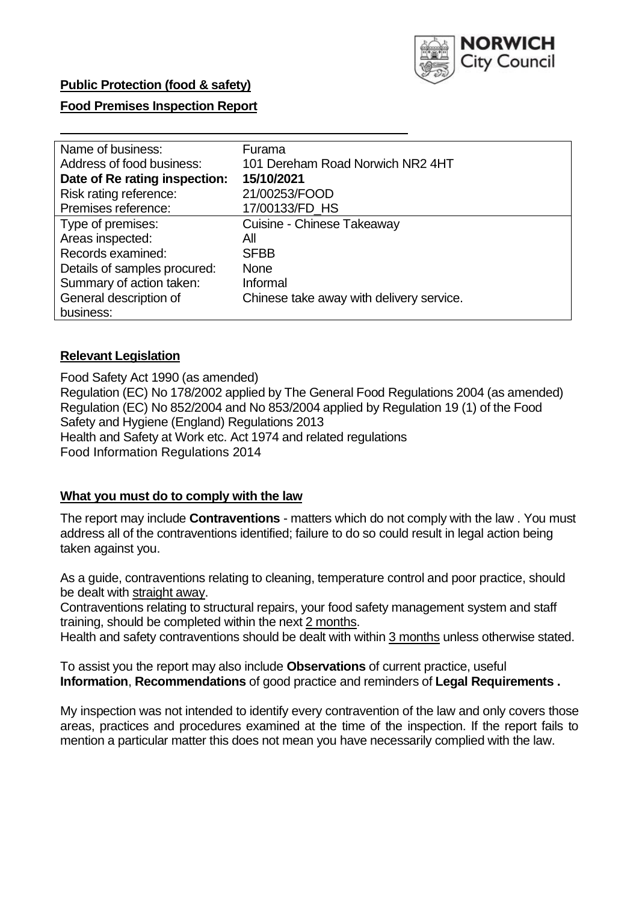

## **Food Premises Inspection Report**

| Name of business:             | Furama                                   |
|-------------------------------|------------------------------------------|
| Address of food business:     | 101 Dereham Road Norwich NR2 4HT         |
| Date of Re rating inspection: | 15/10/2021                               |
| Risk rating reference:        | 21/00253/FOOD                            |
| Premises reference:           | 17/00133/FD_HS                           |
| Type of premises:             | Cuisine - Chinese Takeaway               |
| Areas inspected:              | All                                      |
| Records examined:             | <b>SFBB</b>                              |
| Details of samples procured:  | <b>None</b>                              |
| Summary of action taken:      | Informal                                 |
| General description of        | Chinese take away with delivery service. |
| business:                     |                                          |

### **Relevant Legislation**

 Food Safety Act 1990 (as amended) Regulation (EC) No 178/2002 applied by The General Food Regulations 2004 (as amended) Regulation (EC) No 852/2004 and No 853/2004 applied by Regulation 19 (1) of the Food Safety and Hygiene (England) Regulations 2013 Health and Safety at Work etc. Act 1974 and related regulations Food Information Regulations 2014

### **What you must do to comply with the law**

 The report may include **Contraventions** - matters which do not comply with the law . You must address all of the contraventions identified; failure to do so could result in legal action being taken against you.

 As a guide, contraventions relating to cleaning, temperature control and poor practice, should be dealt with straight away.

 Contraventions relating to structural repairs, your food safety management system and staff training, should be completed within the next 2 months.

Health and safety contraventions should be dealt with within 3 months unless otherwise stated.

 To assist you the report may also include **Observations** of current practice, useful **Information**, **Recommendations** of good practice and reminders of **Legal Requirements .** 

 My inspection was not intended to identify every contravention of the law and only covers those areas, practices and procedures examined at the time of the inspection. If the report fails to mention a particular matter this does not mean you have necessarily complied with the law.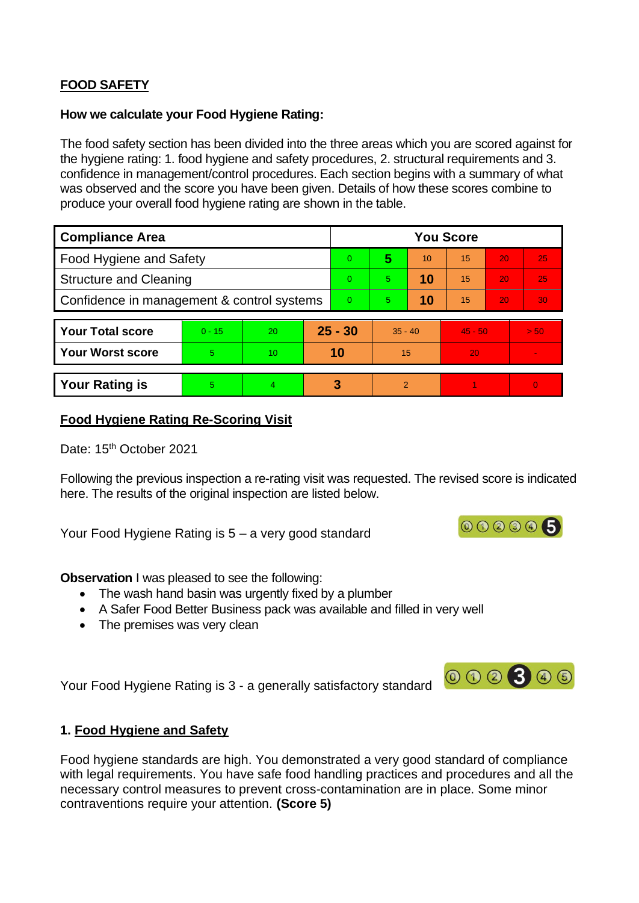# **FOOD SAFETY**

#### **How we calculate your Food Hygiene Rating:**

 The food safety section has been divided into the three areas which you are scored against for the hygiene rating: 1. food hygiene and safety procedures, 2. structural requirements and 3. confidence in management/control procedures. Each section begins with a summary of what was observed and the score you have been given. Details of how these scores combine to produce your overall food hygiene rating are shown in the table.

| <b>Compliance Area</b>                     |          |           |  | <b>You Score</b> |                |    |           |    |                |  |  |
|--------------------------------------------|----------|-----------|--|------------------|----------------|----|-----------|----|----------------|--|--|
| Food Hygiene and Safety                    |          |           |  | 0                | 5              | 10 | 15        | 20 | 25             |  |  |
| <b>Structure and Cleaning</b>              |          |           |  | $\Omega$         | $\overline{5}$ | 10 | 15        | 20 | 25             |  |  |
| Confidence in management & control systems |          |           |  | $\Omega$         | 5              | 10 | 15        | 20 | 30             |  |  |
|                                            |          |           |  |                  |                |    |           |    |                |  |  |
| <b>Your Total score</b>                    | $0 - 15$ | <b>20</b> |  | $25 - 30$        | $35 - 40$      |    | $45 - 50$ |    | > 50           |  |  |
| <b>Your Worst score</b>                    | 5.       | 10        |  | 10               | 15             |    | 20        |    | $\blacksquare$ |  |  |
|                                            |          |           |  |                  |                |    |           |    |                |  |  |
| <b>Your Rating is</b>                      | 5        | 4         |  | 3                | $\overline{2}$ |    |           |    | $\Omega$       |  |  |

### **Food Hygiene Rating Re-Scoring Visit**

Date: 15<sup>th</sup> October 2021

 Following the previous inspection a re-rating visit was requested. The revised score is indicated here. The results of the original inspection are listed below.

Your Food Hygiene Rating is 5 – a very good standard

**Observation** I was pleased to see the following:

- The wash hand basin was urgently fixed by a plumber
- A Safer Food Better Business pack was available and filled in very well
- The premises was very clean

Your Food Hygiene Rating is 3 - a generally satisfactory standard

## **1. Food Hygiene and Safety**

 with legal requirements. You have safe food handling practices and procedures and all the Food hygiene standards are high. You demonstrated a very good standard of compliance necessary control measures to prevent cross-contamination are in place. Some minor contraventions require your attention. **(Score 5)** 



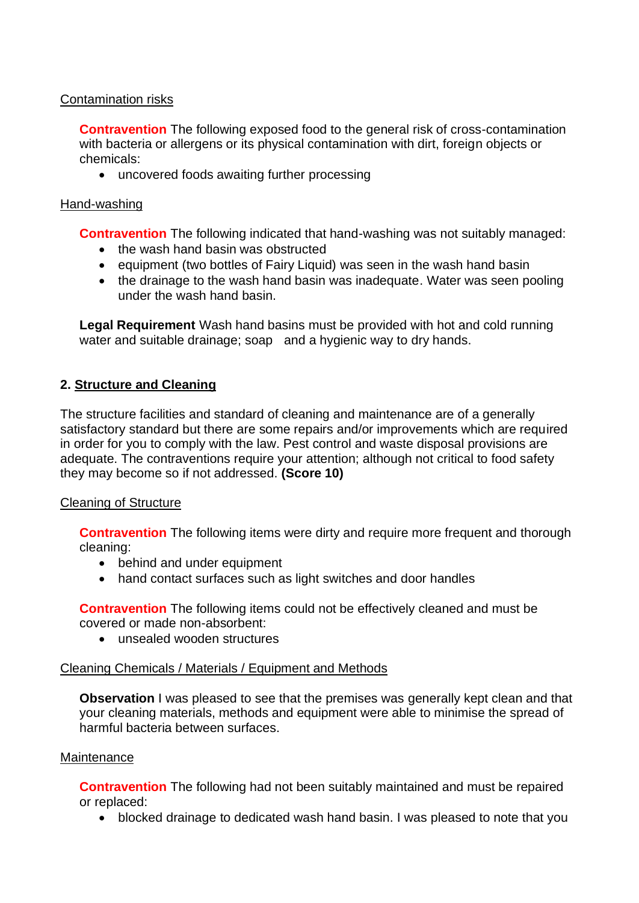## Contamination risks

 with bacteria or allergens or its physical contamination with dirt, foreign objects or **Contravention** The following exposed food to the general risk of cross-contamination chemicals:

• uncovered foods awaiting further processing

## Hand-washing

**Contravention** The following indicated that hand-washing was not suitably managed:

- the wash hand basin was obstructed
- equipment (two bottles of Fairy Liquid) was seen in the wash hand basin
- the drainage to the wash hand basin was inadequate. Water was seen pooling under the wash hand basin.

 **Legal Requirement** Wash hand basins must be provided with hot and cold running water and suitable drainage; soap and a hygienic way to dry hands.

## **2. Structure and Cleaning**

The structure facilities and standard of cleaning and maintenance are of a generally satisfactory standard but there are some repairs and/or improvements which are required in order for you to comply with the law. Pest control and waste disposal provisions are adequate. The contraventions require your attention; although not critical to food safety they may become so if not addressed. **(Score 10)** 

### Cleaning of Structure

**Contravention** The following items were dirty and require more frequent and thorough cleaning:

- behind and under equipment
- hand contact surfaces such as light switches and door handles

**Contravention** The following items could not be effectively cleaned and must be covered or made non-absorbent:

• unsealed wooden structures

### Cleaning Chemicals / Materials / Equipment and Methods

 your cleaning materials, methods and equipment were able to minimise the spread of **Observation** I was pleased to see that the premises was generally kept clean and that harmful bacteria between surfaces.

### **Maintenance**

**Contravention** The following had not been suitably maintained and must be repaired or replaced:

• blocked drainage to dedicated wash hand basin. I was pleased to note that you